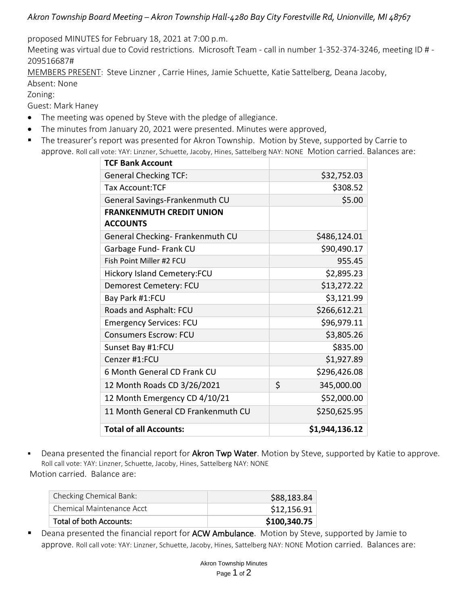## *Akron Township Board Meeting – Akron Township Hall-4280 Bay City Forestville Rd, Unionville, MI 48767*

proposed MINUTES for February 18, 2021 at 7:00 p.m.

Meeting was virtual due to Covid restrictions. Microsoft Team - call in number 1-352-374-3246, meeting ID # - 209516687#

MEMBERS PRESENT: Steve Linzner , Carrie Hines, Jamie Schuette, Katie Sattelberg, Deana Jacoby,

Absent: None

Zoning:

Guest: Mark Haney

- The meeting was opened by Steve with the pledge of allegiance.
- The minutes from January 20, 2021 were presented. Minutes were approved,
- The treasurer's report was presented for Akron Township. Motion by Steve, supported by Carrie to approve. Roll call vote: YAY: Linzner, Schuette, Jacoby, Hines, Sattelberg NAY: NONE Motion carried. Balances are:

| <b>TCF Bank Account</b>            |                  |
|------------------------------------|------------------|
| <b>General Checking TCF:</b>       | \$32,752.03      |
| <b>Tax Account:TCF</b>             | \$308.52         |
| General Savings-Frankenmuth CU     | \$5.00           |
| <b>FRANKENMUTH CREDIT UNION</b>    |                  |
| <b>ACCOUNTS</b>                    |                  |
| General Checking- Frankenmuth CU   | \$486,124.01     |
| Garbage Fund- Frank CU             | \$90,490.17      |
| Fish Point Miller #2 FCU           | 955.45           |
| <b>Hickory Island Cemetery:FCU</b> | \$2,895.23       |
| Demorest Cemetery: FCU             | \$13,272.22      |
| Bay Park #1:FCU                    | \$3,121.99       |
| Roads and Asphalt: FCU             | \$266,612.21     |
| <b>Emergency Services: FCU</b>     | \$96,979.11      |
| <b>Consumers Escrow: FCU</b>       | \$3,805.26       |
| Sunset Bay #1:FCU                  | \$835.00         |
| Cenzer #1:FCU                      | \$1,927.89       |
| 6 Month General CD Frank CU        | \$296,426.08     |
| 12 Month Roads CD 3/26/2021        | \$<br>345,000.00 |
| 12 Month Emergency CD 4/10/21      | \$52,000.00      |
| 11 Month General CD Frankenmuth CU | \$250,625.95     |
| <b>Total of all Accounts:</b>      | \$1,944,136.12   |

■ Deana presented the financial report for Akron Twp Water. Motion by Steve, supported by Katie to approve. Roll call vote: YAY: Linzner, Schuette, Jacoby, Hines, Sattelberg NAY: NONE Motion carried. Balance are:

| Checking Chemical Bank:   | \$88,183.84  |
|---------------------------|--------------|
| Chemical Maintenance Acct | \$12,156.91  |
| Total of both Accounts:   | \$100,340.75 |

■ Deana presented the financial report for ACW Ambulance. Motion by Steve, supported by Jamie to approve. Roll call vote: YAY: Linzner, Schuette, Jacoby, Hines, Sattelberg NAY: NONE Motion carried. Balances are: